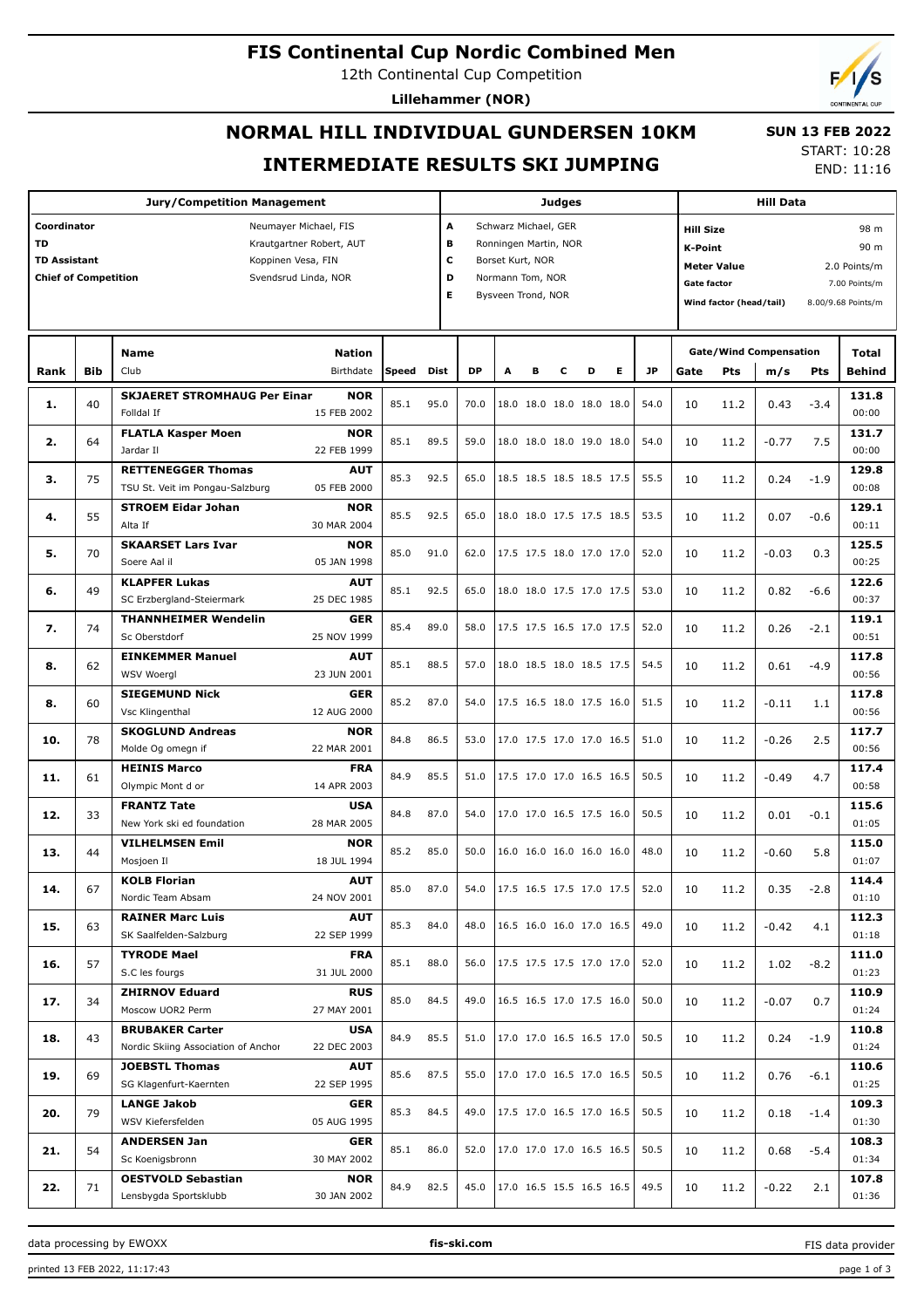#### **FIS Continental Cup Nordic Combined Men**

12th Continental Cup Competition

**Lillehammer (NOR)**

# **NORMAL HILL INDIVIDUAL GUNDERSEN 10KM INTERMEDIATE RESULTS SKI JUMPING**

 **SUN 13 FEB 2022** START: 10:28

END: 11:16

| <b>Jury/Competition Management</b>                                                                                                                                         |            |                                                                                |                    |       |      |                                                                                                                                      |   |   | <b>Judges</b> |                          | <b>Hill Data</b> |           |                                                                                                                                 |      |                               |        |                                               |
|----------------------------------------------------------------------------------------------------------------------------------------------------------------------------|------------|--------------------------------------------------------------------------------|--------------------|-------|------|--------------------------------------------------------------------------------------------------------------------------------------|---|---|---------------|--------------------------|------------------|-----------|---------------------------------------------------------------------------------------------------------------------------------|------|-------------------------------|--------|-----------------------------------------------|
| Coordinator<br>Neumayer Michael, FIS<br>TD<br>Krautgartner Robert, AUT<br><b>TD Assistant</b><br>Koppinen Vesa, FIN<br><b>Chief of Competition</b><br>Svendsrud Linda, NOR |            |                                                                                |                    |       |      | A<br>Schwarz Michael, GER<br>в<br>Ronningen Martin, NOR<br>c<br>Borset Kurt, NOR<br>D<br>Normann Tom, NOR<br>Е<br>Bysveen Trond, NOR |   |   |               |                          |                  |           | <b>Hill Size</b><br><b>K-Point</b><br><b>Meter Value</b><br><b>Gate factor</b><br>Wind factor (head/tail)<br>8.00/9.68 Points/m |      |                               |        | 98 m<br>90 m<br>2.0 Points/m<br>7.00 Points/m |
|                                                                                                                                                                            | <b>Bib</b> | <b>Name</b><br><b>Nation</b><br>Club<br>Birthdate                              |                    | Speed | Dist | DP                                                                                                                                   | A | в | с             | D                        | Е                | <b>JP</b> | Gate                                                                                                                            | Pts  | <b>Gate/Wind Compensation</b> | Pts    | Total<br><b>Behind</b>                        |
| Rank                                                                                                                                                                       |            |                                                                                |                    |       |      |                                                                                                                                      |   |   |               |                          |                  |           |                                                                                                                                 |      | m/s                           |        |                                               |
| 1.                                                                                                                                                                         | 40         | <b>NOR</b><br><b>SKJAERET STROMHAUG Per Einar</b><br>Folldal If<br>15 FEB 2002 |                    | 85.1  | 95.0 | 70.0                                                                                                                                 |   |   |               | 18.0 18.0 18.0 18.0 18.0 |                  | 54.0      | 10                                                                                                                              | 11.2 | 0.43                          | $-3.4$ | 131.8<br>00:00                                |
|                                                                                                                                                                            |            | <b>FLATLA Kasper Moen</b><br><b>NOR</b>                                        |                    |       |      |                                                                                                                                      |   |   |               |                          |                  |           |                                                                                                                                 |      |                               |        | 131.7                                         |
| 2.                                                                                                                                                                         | 64         | Jardar II<br>22 FEB 1999                                                       |                    | 85.1  | 89.5 | 59.0                                                                                                                                 |   |   |               | 18.0 18.0 18.0 19.0 18.0 |                  | 54.0      | 10                                                                                                                              | 11.2 | $-0.77$                       | 7.5    | 00:00                                         |
|                                                                                                                                                                            |            | <b>RETTENEGGER Thomas</b><br><b>AUT</b>                                        |                    | 85.3  | 92.5 | 65.0                                                                                                                                 |   |   |               | 18.5 18.5 18.5 18.5 17.5 |                  | 55.5      |                                                                                                                                 |      |                               |        | 129.8                                         |
| з.                                                                                                                                                                         | 75         | TSU St. Veit im Pongau-Salzburg<br>05 FEB 2000                                 |                    |       |      |                                                                                                                                      |   |   |               |                          |                  |           | 10                                                                                                                              | 11.2 | 0.24                          | $-1.9$ | 00:08                                         |
| 4.                                                                                                                                                                         | 55         | <b>STROEM Eidar Johan</b><br><b>NOR</b>                                        |                    | 85.5  | 92.5 | 65.0                                                                                                                                 |   |   |               | 18.0 18.0 17.5 17.5 18.5 |                  | 53.5      | 10                                                                                                                              | 11.2 | 0.07                          | $-0.6$ | 129.1                                         |
|                                                                                                                                                                            |            | Alta If<br>30 MAR 2004                                                         |                    |       |      |                                                                                                                                      |   |   |               |                          |                  |           |                                                                                                                                 |      |                               |        | 00:11                                         |
| 5.                                                                                                                                                                         | 70         | <b>SKAARSET Lars Ivar</b><br><b>NOR</b><br>Soere Aal il<br>05 JAN 1998         |                    | 85.0  | 91.0 | 62.0                                                                                                                                 |   |   |               | 17.5 17.5 18.0 17.0 17.0 |                  | 52.0      | 10                                                                                                                              | 11.2 | $-0.03$                       | 0.3    | 125.5<br>00:25                                |
|                                                                                                                                                                            |            | <b>KLAPFER Lukas</b><br><b>AUT</b>                                             |                    |       |      |                                                                                                                                      |   |   |               |                          |                  |           |                                                                                                                                 |      |                               |        | 122.6                                         |
| 6.                                                                                                                                                                         | 49         | SC Erzbergland-Steiermark<br>25 DEC 1985                                       |                    | 85.1  | 92.5 | 65.0                                                                                                                                 |   |   |               | 18.0 18.0 17.5 17.0 17.5 |                  | 53.0      | 10                                                                                                                              | 11.2 | 0.82                          | $-6.6$ | 00:37                                         |
|                                                                                                                                                                            |            | <b>THANNHEIMER Wendelin</b>                                                    | GER                |       |      |                                                                                                                                      |   |   |               |                          |                  |           |                                                                                                                                 |      |                               |        | 119.1                                         |
| 7.                                                                                                                                                                         | 74         | Sc Oberstdorf<br>25 NOV 1999                                                   |                    | 85.4  | 89.0 | 58.0                                                                                                                                 |   |   |               | 17.5 17.5 16.5 17.0 17.5 |                  | 52.0      | 10                                                                                                                              | 11.2 | 0.26                          | $-2.1$ | 00:51                                         |
| 8.                                                                                                                                                                         | 62         | <b>AUT</b><br><b>EINKEMMER Manuel</b>                                          |                    | 85.1  | 88.5 | 57.0                                                                                                                                 |   |   |               | 18.0 18.5 18.0 18.5 17.5 |                  | 54.5      | 10                                                                                                                              | 11.2 | 0.61                          | $-4.9$ | 117.8                                         |
|                                                                                                                                                                            |            | <b>WSV Woergl</b><br>23 JUN 2001                                               |                    |       |      |                                                                                                                                      |   |   |               |                          |                  |           |                                                                                                                                 |      |                               |        | 00:56                                         |
| 8.                                                                                                                                                                         | 60         | <b>SIEGEMUND Nick</b>                                                          | GER                | 85.2  | 87.0 | 54.0                                                                                                                                 |   |   |               | 17.5 16.5 18.0 17.5 16.0 |                  | 51.5      | 10                                                                                                                              | 11.2 | $-0.11$                       | 1.1    | 117.8                                         |
|                                                                                                                                                                            |            | Vsc Klingenthal<br>12 AUG 2000                                                 |                    |       |      |                                                                                                                                      |   |   |               |                          |                  |           |                                                                                                                                 |      |                               |        | 00:56                                         |
| 10.                                                                                                                                                                        | 78         | <b>SKOGLUND Andreas</b><br><b>NOR</b><br>Molde Og omegn if<br>22 MAR 2001      |                    | 84.8  | 86.5 | 53.0                                                                                                                                 |   |   |               | 17.0 17.5 17.0 17.0 16.5 |                  | 51.0      | 10                                                                                                                              | 11.2 | $-0.26$                       | 2.5    | 117.7<br>00:56                                |
|                                                                                                                                                                            |            | <b>HEINIS Marco</b>                                                            | <b>FRA</b>         |       |      |                                                                                                                                      |   |   |               |                          |                  |           |                                                                                                                                 |      |                               |        | 117.4                                         |
| 11.                                                                                                                                                                        | 61         | Olympic Mont d or<br>14 APR 2003                                               |                    | 84.9  | 85.5 | 51.0                                                                                                                                 |   |   |               | 17.5 17.0 17.0 16.5 16.5 |                  | 50.5      | 10                                                                                                                              | 11.2 | $-0.49$                       | 4.7    | 00:58                                         |
|                                                                                                                                                                            |            | <b>FRANTZ Tate</b>                                                             | USA                | 84.8  | 87.0 | 54.0                                                                                                                                 |   |   |               | 17.0 17.0 16.5 17.5 16.0 |                  | 50.5      |                                                                                                                                 |      |                               |        | 115.6                                         |
| 12.                                                                                                                                                                        | 33         | New York ski ed foundation<br>28 MAR 2005                                      |                    |       |      |                                                                                                                                      |   |   |               |                          |                  |           | 10                                                                                                                              | 11.2 | 0.01                          | $-0.1$ | 01:05                                         |
| 13.                                                                                                                                                                        | 44         | <b>VILHELMSEN Emil</b><br><b>NOR</b>                                           |                    | 85.2  | 85.0 | 50.0                                                                                                                                 |   |   |               | 16.0 16.0 16.0 16.0 16.0 |                  | 48.0      | 10                                                                                                                              | 11.2 | $-0.60$                       | 5.8    | 115.0                                         |
|                                                                                                                                                                            |            | Mosjoen Il<br>18 JUL 1994                                                      |                    |       |      |                                                                                                                                      |   |   |               |                          |                  |           |                                                                                                                                 |      |                               |        | 01:07                                         |
| 14.                                                                                                                                                                        | 67         | <b>KOLB Florian</b><br>Nordic Team Absam<br>24 NOV 2001                        | <b>AUT</b>         | 85.0  | 87.0 | 54.0                                                                                                                                 |   |   |               | 17.5 16.5 17.5 17.0 17.5 |                  | 52.0      | 10                                                                                                                              | 11.2 | 0.35                          | $-2.8$ | 114.4<br>01:10                                |
|                                                                                                                                                                            |            | <b>RAINER Marc Luis</b>                                                        | <b>AUT</b>         |       |      |                                                                                                                                      |   |   |               |                          |                  |           |                                                                                                                                 |      |                               |        | 112.3                                         |
| 15.                                                                                                                                                                        | 63         | SK Saalfelden-Salzburg<br>22 SEP 1999                                          |                    | 85.3  | 84.0 | 48.0                                                                                                                                 |   |   |               | 16.5 16.0 16.0 17.0 16.5 |                  | 49.0      | 10                                                                                                                              | 11.2 | $-0.42$                       | 4.1    | 01:18                                         |
|                                                                                                                                                                            |            | <b>TYRODE Mael</b>                                                             | <b>FRA</b>         |       |      |                                                                                                                                      |   |   |               |                          |                  |           |                                                                                                                                 |      |                               | $-8.2$ | 111.0                                         |
| 16.                                                                                                                                                                        | 57         | S.C les fourgs<br>31 JUL 2000                                                  |                    | 85.1  | 88.0 | 56.0                                                                                                                                 |   |   |               | 17.5 17.5 17.5 17.0 17.0 |                  | 52.0      | 10                                                                                                                              | 11.2 | 1.02                          |        | 01:23                                         |
| 17.                                                                                                                                                                        | 34         | <b>ZHIRNOV Eduard</b>                                                          | <b>RUS</b>         | 85.0  | 84.5 | 49.0                                                                                                                                 |   |   |               | 16.5 16.5 17.0 17.5 16.0 |                  | 50.0      | 10                                                                                                                              | 11.2 | $-0.07$                       | 0.7    | 110.9                                         |
|                                                                                                                                                                            |            | Moscow UOR2 Perm<br>27 MAY 2001                                                |                    |       |      |                                                                                                                                      |   |   |               |                          |                  |           |                                                                                                                                 |      |                               |        | 01:24                                         |
| 18.                                                                                                                                                                        | 43         | <b>BRUBAKER Carter</b>                                                         | <b>USA</b>         | 84.9  | 85.5 | 51.0                                                                                                                                 |   |   |               | 17.0 17.0 16.5 16.5 17.0 |                  | 50.5      | 10                                                                                                                              | 11.2 | 0.24                          | $-1.9$ | 110.8                                         |
|                                                                                                                                                                            |            | Nordic Skiing Association of Anchor<br><b>JOEBSTL Thomas</b>                   | 22 DEC 2003<br>AUT |       |      |                                                                                                                                      |   |   |               |                          |                  |           |                                                                                                                                 |      |                               |        | 01:24<br>110.6                                |
| 19.                                                                                                                                                                        | 69         | SG Klagenfurt-Kaernten<br>22 SEP 1995                                          |                    | 85.6  | 87.5 | 55.0                                                                                                                                 |   |   |               | 17.0 17.0 16.5 17.0 16.5 |                  | 50.5      | 10                                                                                                                              | 11.2 | 0.76                          | $-6.1$ | 01:25                                         |
|                                                                                                                                                                            |            | <b>LANGE Jakob</b>                                                             | GER                |       |      |                                                                                                                                      |   |   |               |                          |                  |           |                                                                                                                                 |      |                               |        | 109.3                                         |
| 20.                                                                                                                                                                        | 79         | WSV Kiefersfelden<br>05 AUG 1995                                               |                    | 85.3  | 84.5 | 49.0                                                                                                                                 |   |   |               | 17.5 17.0 16.5 17.0 16.5 |                  | 50.5      | 10                                                                                                                              | 11.2 | 0.18                          | $-1.4$ | 01:30                                         |
| 21.                                                                                                                                                                        | 54         | <b>ANDERSEN Jan</b>                                                            | GER                | 85.1  | 86.0 | 52.0                                                                                                                                 |   |   |               | 17.0 17.0 17.0 16.5 16.5 |                  | 50.5      |                                                                                                                                 |      | 0.68                          |        | 108.3                                         |
|                                                                                                                                                                            |            | Sc Koenigsbronn<br>30 MAY 2002                                                 |                    |       |      |                                                                                                                                      |   |   |               |                          |                  |           | 10                                                                                                                              | 11.2 |                               | $-5.4$ | 01:34                                         |
| 22.                                                                                                                                                                        | 71         | <b>OESTVOLD Sebastian</b>                                                      | <b>NOR</b>         | 84.9  | 82.5 | 45.0                                                                                                                                 |   |   |               | 17.0 16.5 15.5 16.5 16.5 |                  | 49.5      | 10                                                                                                                              | 11.2 | $-0.22$                       | 2.1    | 107.8                                         |
|                                                                                                                                                                            |            | Lensbygda Sportsklubb<br>30 JAN 2002                                           |                    |       |      |                                                                                                                                      |   |   |               |                          |                  |           |                                                                                                                                 |      |                               |        | 01:36                                         |

FIS data provider

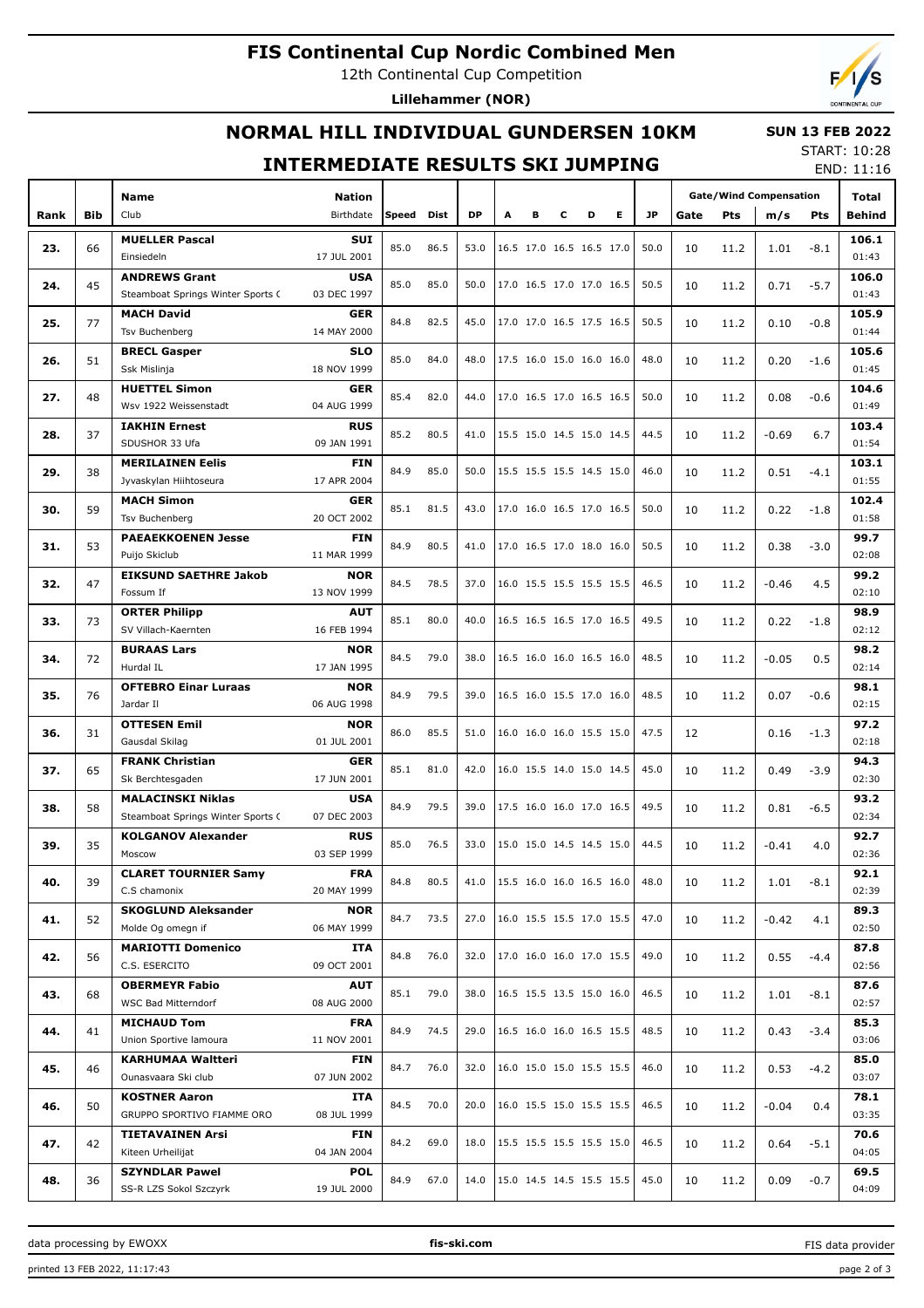## **FIS Continental Cup Nordic Combined Men**

12th Continental Cup Competition

**Lillehammer (NOR)**

## **NORMAL HILL INDIVIDUAL GUNDERSEN 10KM**

#### **INTERMEDIATE RESULTS SKI JUMPING**

START: 10:28 END: 11:16

 **SUN 13 FEB 2022**

|      |     |                                   |                    |       |      |           |                          |                          |                          |                          |                          |      | <b>Gate/Wind Compensation</b> |            |         |        |               |
|------|-----|-----------------------------------|--------------------|-------|------|-----------|--------------------------|--------------------------|--------------------------|--------------------------|--------------------------|------|-------------------------------|------------|---------|--------|---------------|
|      |     | Name                              | <b>Nation</b>      |       |      |           |                          |                          |                          |                          |                          |      |                               |            |         |        | Total         |
| Rank | Bib | Club                              | Birthdate          | Speed | Dist | <b>DP</b> | A                        | в                        | c                        | D                        | E.                       | JP.  | Gate                          | <b>Pts</b> | m/s     | Pts    | <b>Behind</b> |
| 23.  | 66  | <b>MUELLER Pascal</b>             | <b>SUI</b>         | 85.0  | 86.5 | 53.0      |                          | 16.5 17.0 16.5 16.5 17.0 |                          |                          |                          | 50.0 | 10                            | 11.2       | 1.01    | $-8.1$ | 106.1         |
|      |     | Einsiedeln                        | 17 JUL 2001        |       |      |           |                          |                          |                          |                          |                          |      |                               |            |         |        | 01:43         |
| 24.  | 45  | <b>ANDREWS Grant</b>              | <b>USA</b>         | 85.0  | 85.0 | 50.0      |                          | 17.0 16.5 17.0 17.0 16.5 |                          |                          |                          | 50.5 | 10                            | 11.2       | 0.71    | $-5.7$ | 106.0         |
|      |     | Steamboat Springs Winter Sports C | 03 DEC 1997        |       |      |           |                          |                          |                          |                          |                          |      |                               |            |         |        | 01:43         |
| 25.  | 77  | <b>MACH David</b>                 | <b>GER</b>         | 84.8  | 82.5 | 45.0      |                          | 17.0 17.0 16.5 17.5 16.5 |                          |                          |                          | 50.5 | 10                            | 11.2       | 0.10    | $-0.8$ | 105.9         |
|      |     | Tsv Buchenberg                    | 14 MAY 2000        |       |      |           |                          |                          |                          |                          |                          |      |                               |            |         |        | 01:44         |
| 26.  | 51  | <b>BRECL Gasper</b>               | <b>SLO</b>         | 85.0  | 84.0 | 48.0      |                          | 17.5 16.0 15.0 16.0 16.0 |                          |                          |                          | 48.0 | 10                            | 11.2       | 0.20    | $-1.6$ | 105.6         |
|      |     | Ssk Mislinja                      | 18 NOV 1999        |       |      |           |                          |                          |                          |                          |                          |      |                               |            |         |        | 01:45         |
| 27.  | 48  | <b>HUETTEL Simon</b>              | <b>GER</b>         | 85.4  | 82.0 | 44.0      |                          | 17.0 16.5 17.0 16.5 16.5 |                          |                          |                          | 50.0 | 10                            |            | 0.08    | $-0.6$ | 104.6         |
|      |     | Wsv 1922 Weissenstadt             | 04 AUG 1999        |       |      |           |                          |                          |                          |                          |                          |      |                               | 11.2       |         |        | 01:49         |
|      |     | <b>IAKHIN Ernest</b>              | <b>RUS</b>         | 85.2  | 80.5 | 41.0      |                          | 15.5 15.0 14.5 15.0 14.5 |                          |                          |                          | 44.5 | 10                            |            |         |        | 103.4         |
| 28.  | 37  | SDUSHOR 33 Ufa                    | 09 JAN 1991        |       |      |           |                          |                          |                          |                          |                          |      |                               | 11.2       | $-0.69$ | 6.7    | 01:54         |
| 29.  |     | <b>MERILAINEN Eelis</b>           | FIN                | 84.9  | 85.0 | 50.0      |                          | 15.5 15.5 15.5 14.5 15.0 |                          |                          |                          | 46.0 | 10                            |            |         |        | 103.1         |
|      | 38  | Jyvaskylan Hiihtoseura            | 17 APR 2004        |       |      |           |                          |                          |                          |                          |                          |      |                               | 11.2       | 0.51    | $-4.1$ | 01:55         |
| 30.  | 59  | <b>MACH Simon</b>                 | <b>GER</b>         | 85.1  | 81.5 | 43.0      |                          | 17.0 16.0 16.5 17.0 16.5 |                          |                          |                          | 50.0 | 10                            |            | 0.22    | $-1.8$ | 102.4         |
|      |     | Tsv Buchenberg                    | 20 OCT 2002        |       |      |           |                          |                          |                          |                          |                          |      |                               | 11.2       |         |        | 01:58         |
|      |     | <b>PAEAEKKOENEN Jesse</b>         | FIN                | 84.9  |      | 41.0      |                          | 17.0 16.5 17.0 18.0 16.0 |                          |                          |                          | 50.5 | 10                            |            |         |        | 99.7          |
| 31.  | 53  | Puijo Skiclub                     | 11 MAR 1999        |       | 80.5 |           |                          |                          |                          |                          |                          |      |                               | 11.2       | 0.38    | $-3.0$ | 02:08         |
|      | 47  | <b>EIKSUND SAETHRE Jakob</b>      | <b>NOR</b>         | 84.5  | 78.5 | 37.0      |                          | 16.0 15.5 15.5 15.5 15.5 |                          |                          |                          | 46.5 | 10                            |            |         |        | 99.2          |
| 32.  |     | Fossum If                         | 13 NOV 1999        |       |      |           |                          |                          |                          |                          |                          |      |                               | 11.2       | $-0.46$ | 4.5    | 02:10         |
| 33.  | 73  | <b>ORTER Philipp</b>              | <b>AUT</b><br>85.1 | 80.0  | 40.0 |           | 16.5 16.5 16.5 17.0 16.5 |                          |                          |                          | 49.5                     | 10   |                               |            |         | 98.9   |               |
|      |     | SV Villach-Kaernten               | 16 FEB 1994        |       |      |           |                          |                          |                          |                          |                          |      |                               | 11.2       | 0.22    | $-1.8$ | 02:12         |
|      |     | <b>BURAAS Lars</b>                | <b>NOR</b>         | 84.5  | 79.0 |           |                          | 16.5 16.0 16.0 16.5 16.0 |                          |                          |                          | 48.5 |                               |            |         |        | 98.2          |
| 34.  | 72  | Hurdal IL                         | 17 JAN 1995        |       |      | 38.0      |                          |                          |                          |                          |                          |      | 10                            | 11.2       | $-0.05$ | 0.5    | 02:14         |
|      |     | <b>OFTEBRO Einar Luraas</b>       | <b>NOR</b>         |       |      |           |                          |                          |                          |                          |                          |      |                               |            |         |        | 98.1          |
| 35.  | 76  | Jardar II                         | 06 AUG 1998        | 84.9  | 79.5 | 39.0      |                          | 16.5 16.0 15.5 17.0 16.0 |                          |                          |                          | 48.5 | 10                            | 11.2       | 0.07    | $-0.6$ | 02:15         |
|      |     | <b>OTTESEN Emil</b>               | <b>NOR</b>         |       |      |           |                          |                          |                          |                          |                          |      |                               |            |         |        | 97.2          |
| 36.  | 31  | Gausdal Skilag                    | 01 JUL 2001        | 86.0  | 85.5 | 51.0      |                          | 16.0 16.0 16.0 15.5 15.0 |                          |                          |                          | 47.5 | 12                            |            | 0.16    | $-1.3$ | 02:18         |
|      |     | <b>FRANK Christian</b>            | <b>GER</b>         | 85.1  | 81.0 | 42.0      |                          |                          |                          |                          |                          |      |                               |            |         |        | 94.3          |
| 37.  | 65  | Sk Berchtesgaden                  | 17 JUN 2001        |       |      |           |                          |                          | 16.0 15.5 14.0 15.0 14.5 |                          |                          | 45.0 | 10                            | 11.2       | 0.49    | $-3.9$ | 02:30         |
|      |     | <b>MALACINSKI Niklas</b>          | <b>USA</b>         |       |      |           |                          |                          |                          |                          |                          |      |                               |            |         |        | 93.2          |
| 38.  | 58  | Steamboat Springs Winter Sports ( | 07 DEC 2003        | 84.9  | 79.5 | 39.0      |                          |                          |                          |                          | 17.5 16.0 16.0 17.0 16.5 | 49.5 | 10                            | 11.2       | 0.81    | $-6.5$ | 02:34         |
|      |     | <b>KOLGANOV Alexander</b>         | <b>RUS</b>         |       |      |           |                          |                          |                          |                          |                          |      |                               |            |         |        | 92.7          |
| 39.  | 35  | Moscow                            | 03 SEP 1999        | 85.0  | 76.5 | 33.0      |                          | 15.0 15.0 14.5 14.5 15.0 |                          |                          |                          | 44.5 | 10                            | 11.2       | $-0.41$ | 4.0    | 02:36         |
|      |     | <b>CLARET TOURNIER Samy</b>       | <b>FRA</b>         |       |      |           |                          |                          |                          |                          |                          |      |                               |            |         |        | 92.1          |
| 40.  | 39  | C.S chamonix                      | 20 MAY 1999        | 84.8  | 80.5 | 41.0      |                          | 15.5 16.0 16.0 16.5 16.0 |                          |                          |                          | 48.0 | 10                            | 11.2       | 1.01    | $-8.1$ | 02:39         |
|      |     | <b>SKOGLUND Aleksander</b>        | <b>NOR</b>         |       |      |           |                          |                          |                          |                          |                          |      |                               |            |         |        | 89.3          |
| 41.  | 52  | Molde Og omegn if                 | 06 MAY 1999        | 84.7  | 73.5 | 27.0      |                          |                          |                          |                          | 16.0 15.5 15.5 17.0 15.5 | 47.0 | 10                            | 11.2       | $-0.42$ | 4.1    | 02:50         |
|      |     | <b>MARIOTTI Domenico</b>          | ITA                |       |      |           |                          |                          |                          |                          |                          |      |                               |            |         |        | 87.8          |
| 42.  | 56  | C.S. ESERCITO                     | 09 OCT 2001        | 84.8  | 76.0 | 32.0      |                          | 17.0 16.0 16.0 17.0 15.5 |                          |                          |                          | 49.0 | 10                            | 11.2       | 0.55    | $-4.4$ | 02:56         |
|      |     | <b>OBERMEYR Fabio</b>             | <b>AUT</b>         |       |      |           |                          |                          |                          |                          |                          |      |                               |            |         |        | 87.6          |
| 43.  | 68  | WSC Bad Mitterndorf               | 08 AUG 2000        | 85.1  | 79.0 | 38.0      |                          | 16.5 15.5 13.5 15.0 16.0 |                          |                          |                          | 46.5 | 10                            | 11.2       | 1.01    | $-8.1$ | 02:57         |
|      |     | <b>MICHAUD Tom</b>                | <b>FRA</b>         |       |      |           |                          |                          |                          |                          |                          |      |                               |            |         |        | 85.3          |
| 44.  | 41  | Union Sportive lamoura            | 11 NOV 2001        | 84.9  | 74.5 | 29.0      |                          | 16.5 16.0 16.0 16.5 15.5 |                          |                          |                          | 48.5 | 10                            | 11.2       | 0.43    | $-3.4$ | 03:06         |
|      |     | <b>KARHUMAA Waltteri</b>          | FIN                |       |      |           |                          |                          |                          |                          |                          |      |                               |            |         |        | 85.0          |
| 45.  | 46  | Ounasvaara Ski club               | 07 JUN 2002        | 84.7  | 76.0 | 32.0      |                          | 16.0 15.0 15.0 15.5 15.5 |                          |                          |                          | 46.0 | 10                            | 11.2       | 0.53    | $-4.2$ | 03:07         |
|      |     | <b>KOSTNER Aaron</b>              | ITA                |       |      |           |                          |                          |                          |                          |                          |      |                               |            | -0.04   | 0.4    | 78.1          |
| 46.  | 50  | GRUPPO SPORTIVO FIAMME ORO        | 08 JUL 1999        | 84.5  | 70.0 | 20.0      |                          |                          |                          |                          | 16.0 15.5 15.0 15.5 15.5 | 46.5 | 10                            | 11.2       |         |        | 03:35         |
|      |     | <b>TIETAVAINEN Arsi</b>           | <b>FIN</b>         |       |      |           |                          |                          |                          |                          |                          |      |                               |            |         |        | 70.6          |
| 47.  | 42  | Kiteen Urheilijat                 | 04 JAN 2004        | 84.2  | 69.0 | 18.0      |                          |                          |                          | 15.5 15.5 15.5 15.5 15.0 |                          | 46.5 | 10                            | 11.2       | 0.64    | $-5.1$ | 04:05         |
|      |     | <b>SZYNDLAR Pawel</b>             | <b>POL</b>         |       |      |           |                          |                          |                          |                          |                          |      |                               |            |         |        | 69.5          |
| 48.  | 36  | SS-R LZS Sokol Szczyrk            | 19 JUL 2000        | 84.9  | 67.0 | 14.0      |                          |                          |                          |                          | 15.0 14.5 14.5 15.5 15.5 | 45.0 | 10                            | 11.2       | 0.09    | $-0.7$ | 04:09         |

data processing by EWOXX **fis-ski.com**

FIS data provider